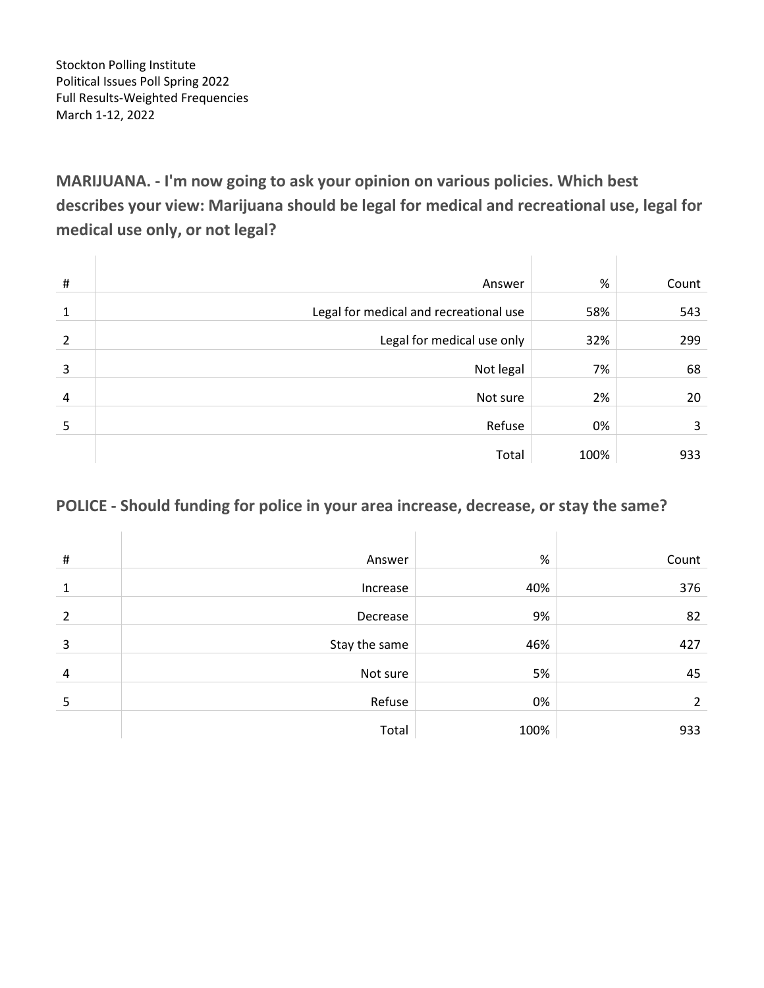Stockton Polling Institute Political Issues Poll Spring 2022 Full Results-Weighted Frequencies March 1-12, 2022

**MARIJUANA. - I'm now going to ask your opinion on various policies. Which best describes your view: Marijuana should be legal for medical and recreational use, legal for medical use only, or not legal?**

| # | Answer                                 | %    | Count |
|---|----------------------------------------|------|-------|
| 1 | Legal for medical and recreational use | 58%  | 543   |
| 2 | Legal for medical use only             | 32%  | 299   |
| 3 | Not legal                              | 7%   | 68    |
| 4 | Not sure                               | 2%   | 20    |
| 5 | Refuse                                 | 0%   | 3     |
|   | Total                                  | 100% | 933   |

### **POLICE - Should funding for police in your area increase, decrease, or stay the same?**

| $\#$           | Answer        | $\%$ | Count |
|----------------|---------------|------|-------|
| $\mathbf{1}$   | Increase      | 40%  | 376   |
| $\overline{2}$ | Decrease      | 9%   | 82    |
| 3              | Stay the same | 46%  | 427   |
| 4              | Not sure      | 5%   | 45    |
| 5              | Refuse        | 0%   | 2     |
|                | Total         | 100% | 933   |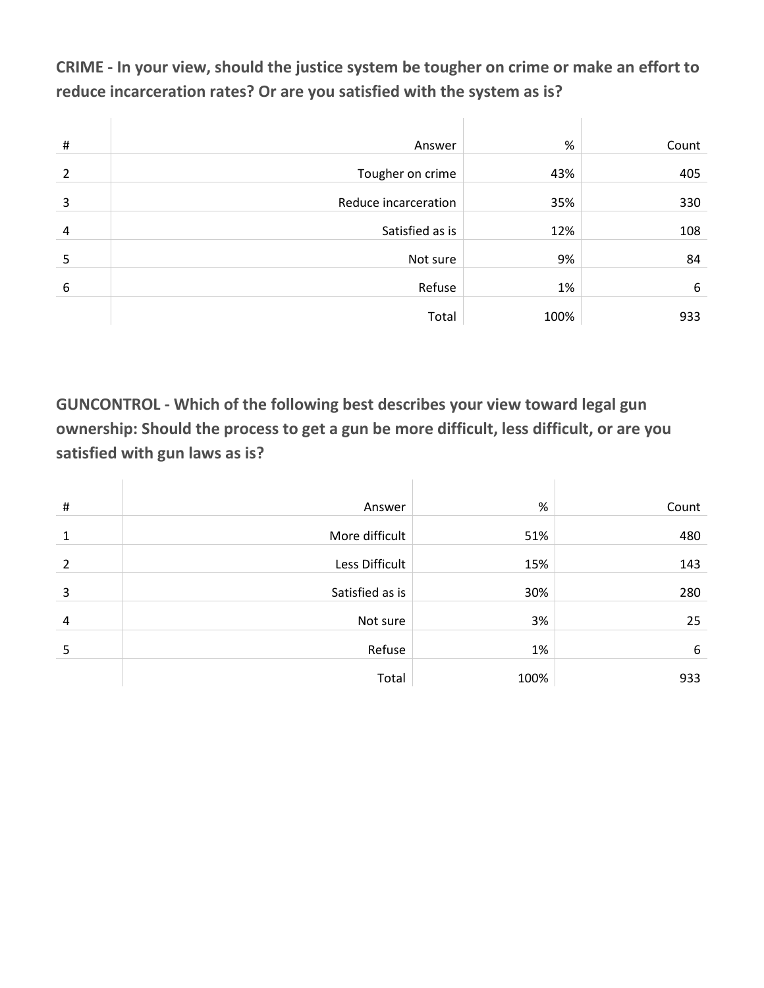**CRIME - In your view, should the justice system be tougher on crime or make an effort to reduce incarceration rates? Or are you satisfied with the system as is?**

| $\#$           | Answer               | %    | Count |
|----------------|----------------------|------|-------|
| $\overline{2}$ | Tougher on crime     | 43%  | 405   |
| 3              | Reduce incarceration | 35%  | 330   |
| 4              | Satisfied as is      | 12%  | 108   |
| 5              | Not sure             | 9%   | 84    |
| 6              | Refuse               | 1%   | 6     |
|                | Total                | 100% | 933   |

**GUNCONTROL - Which of the following best describes your view toward legal gun ownership: Should the process to get a gun be more difficult, less difficult, or are you satisfied with gun laws as is?**

| $\#$           | Answer          | %    | Count |
|----------------|-----------------|------|-------|
| 1              | More difficult  | 51%  | 480   |
| $\overline{2}$ | Less Difficult  | 15%  | 143   |
| 3              | Satisfied as is | 30%  | 280   |
| 4              | Not sure        | 3%   | 25    |
| 5              | Refuse          | 1%   | 6     |
|                | Total           | 100% | 933   |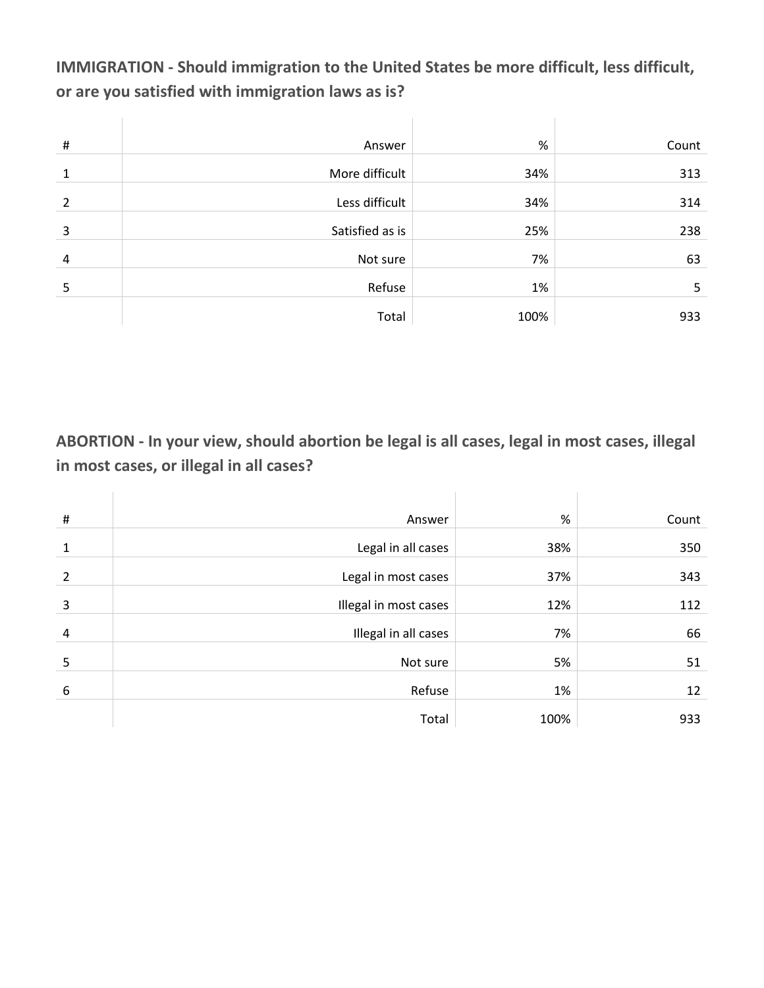**IMMIGRATION - Should immigration to the United States be more difficult, less difficult, or are you satisfied with immigration laws as is?**

| $\sharp\hspace{-0.8em}\sharp$ | Answer          | %    | Count |
|-------------------------------|-----------------|------|-------|
| 1                             | More difficult  | 34%  | 313   |
| 2                             | Less difficult  | 34%  | 314   |
| 3                             | Satisfied as is | 25%  | 238   |
| 4                             | Not sure        | 7%   | 63    |
| 5                             | Refuse          | 1%   | 5     |
|                               | Total           | 100% | 933   |

**ABORTION - In your view, should abortion be legal is all cases, legal in most cases, illegal in most cases, or illegal in all cases?**

| $\sharp$ | Answer                | %    | Count |
|----------|-----------------------|------|-------|
| 1        | Legal in all cases    | 38%  | 350   |
| 2        | Legal in most cases   | 37%  | 343   |
| 3        | Illegal in most cases | 12%  | 112   |
| 4        | Illegal in all cases  | 7%   | 66    |
| 5        | Not sure              | 5%   | 51    |
| 6        | Refuse                | 1%   | 12    |
|          | Total                 | 100% | 933   |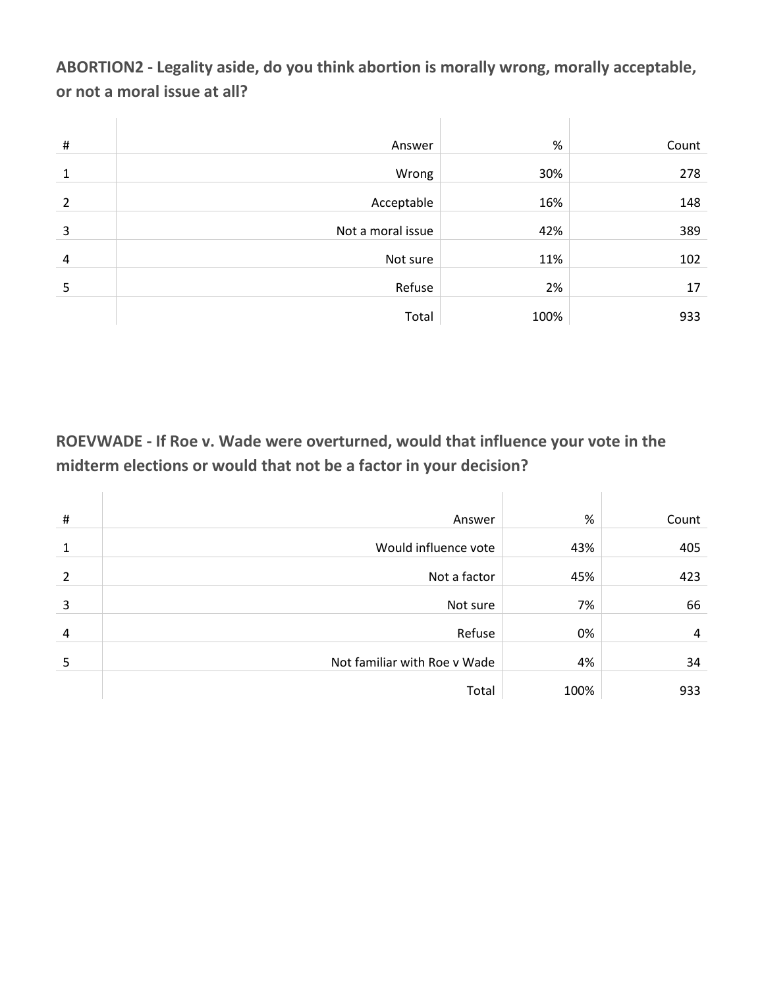**ABORTION2 - Legality aside, do you think abortion is morally wrong, morally acceptable, or not a moral issue at all?**

| $\sharp$       | Answer            | %    | Count |
|----------------|-------------------|------|-------|
| $\mathbf{1}$   | Wrong             | 30%  | 278   |
| 2              | Acceptable        | 16%  | 148   |
| 3              | Not a moral issue | 42%  | 389   |
| $\overline{4}$ | Not sure          | 11%  | 102   |
| 5              | Refuse            | 2%   | 17    |
|                | Total             | 100% | 933   |

**ROEVWADE - If Roe v. Wade were overturned, would that influence your vote in the midterm elections or would that not be a factor in your decision?**

| $\sharp$ | Answer                       | %    | Count |
|----------|------------------------------|------|-------|
| 1        | Would influence vote         | 43%  | 405   |
| 2        | Not a factor                 | 45%  | 423   |
| 3        | Not sure                     | 7%   | 66    |
| 4        | Refuse                       | 0%   | 4     |
| 5        | Not familiar with Roe v Wade | 4%   | 34    |
|          | Total                        | 100% | 933   |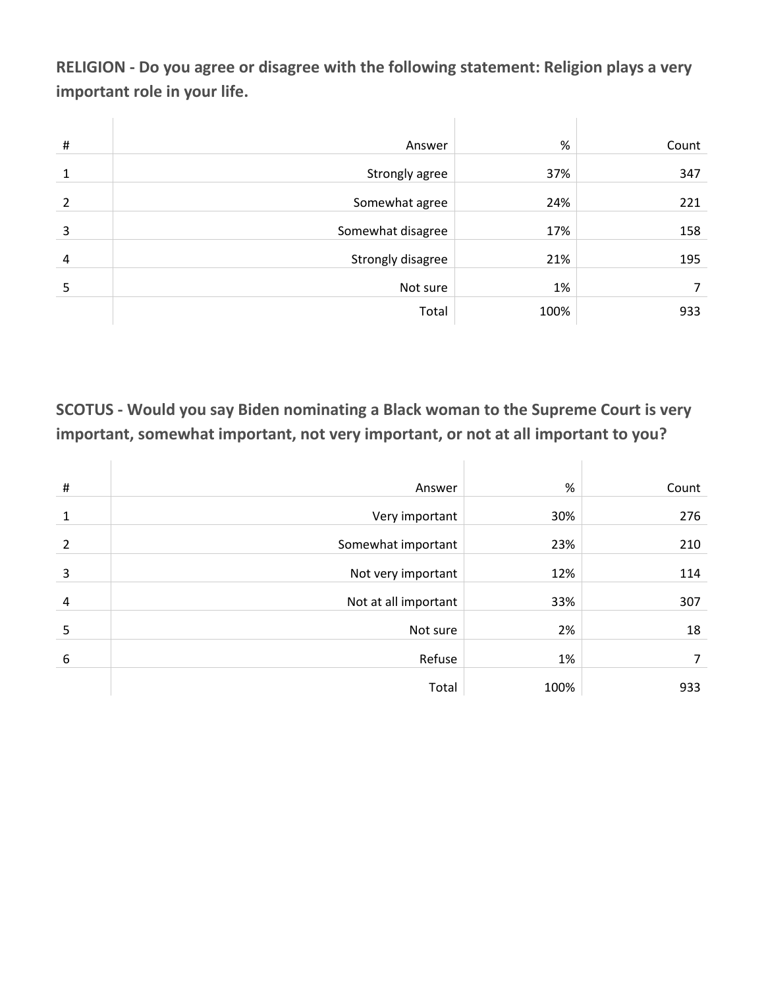**RELIGION - Do you agree or disagree with the following statement: Religion plays a very important role in your life.**

| $\#$ | Answer            | $\%$ | Count |
|------|-------------------|------|-------|
| 1    | Strongly agree    | 37%  | 347   |
| 2    | Somewhat agree    | 24%  | 221   |
|      |                   |      |       |
| 3    | Somewhat disagree | 17%  | 158   |
| 4    | Strongly disagree | 21%  | 195   |
| 5    | Not sure          | 1%   | 7     |
|      | Total             | 100% | 933   |

### **SCOTUS - Would you say Biden nominating a Black woman to the Supreme Court is very important, somewhat important, not very important, or not at all important to you?**

| $\#$           | Answer               | %    | Count |
|----------------|----------------------|------|-------|
| 1              | Very important       | 30%  | 276   |
| $\overline{2}$ | Somewhat important   | 23%  | 210   |
| 3              | Not very important   | 12%  | 114   |
| 4              | Not at all important | 33%  | 307   |
| 5              | Not sure             | 2%   | 18    |
| 6              | Refuse               | 1%   | 7     |
|                | Total                | 100% | 933   |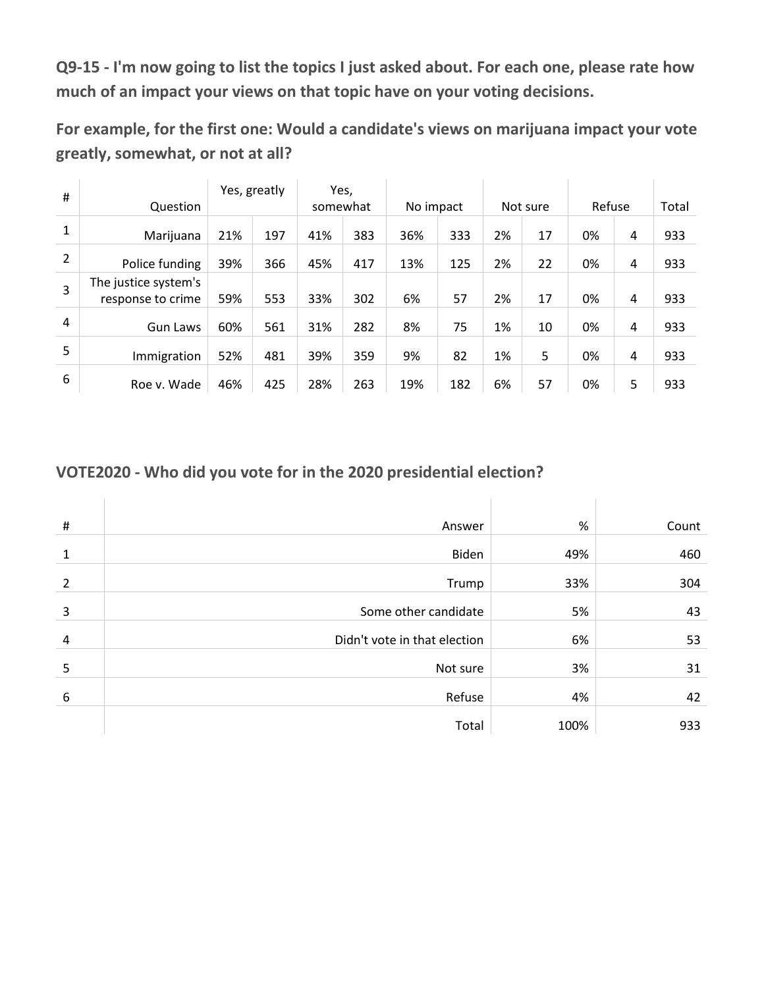**Q9-15 - I'm now going to list the topics I just asked about. For each one, please rate how much of an impact your views on that topic have on your voting decisions.**

**For example, for the first one: Would a candidate's views on marijuana impact your vote greatly, somewhat, or not at all?**

| #              | Question                                  |     | Yes, greatly | somewhat | Yes, | No impact |     |    | Not sure | Refuse |   | Total |
|----------------|-------------------------------------------|-----|--------------|----------|------|-----------|-----|----|----------|--------|---|-------|
| $\mathbf{1}$   | Marijuana                                 | 21% | 197          | 41%      | 383  | 36%       | 333 | 2% | 17       | 0%     | 4 | 933   |
| $\overline{2}$ | Police funding                            | 39% | 366          | 45%      | 417  | 13%       | 125 | 2% | 22       | 0%     | 4 | 933   |
| 3              | The justice system's<br>response to crime | 59% | 553          | 33%      | 302  | 6%        | 57  | 2% | 17       | 0%     | 4 | 933   |
| 4              | <b>Gun Laws</b>                           | 60% | 561          | 31%      | 282  | 8%        | 75  | 1% | 10       | 0%     | 4 | 933   |
| 5              | Immigration                               | 52% | 481          | 39%      | 359  | 9%        | 82  | 1% | 5        | 0%     | 4 | 933   |
| 6              | Roe v. Wade                               | 46% | 425          | 28%      | 263  | 19%       | 182 | 6% | 57       | 0%     | 5 | 933   |

### **VOTE2020 - Who did you vote for in the 2020 presidential election?**

| #              | Answer                       | %    | Count |
|----------------|------------------------------|------|-------|
| 1              | Biden                        | 49%  | 460   |
| 2              | Trump                        | 33%  | 304   |
| 3              | Some other candidate         | 5%   | 43    |
| $\overline{a}$ | Didn't vote in that election | 6%   | 53    |
| 5              | Not sure                     | 3%   | 31    |
| 6              | Refuse                       | 4%   | 42    |
|                | Total                        | 100% | 933   |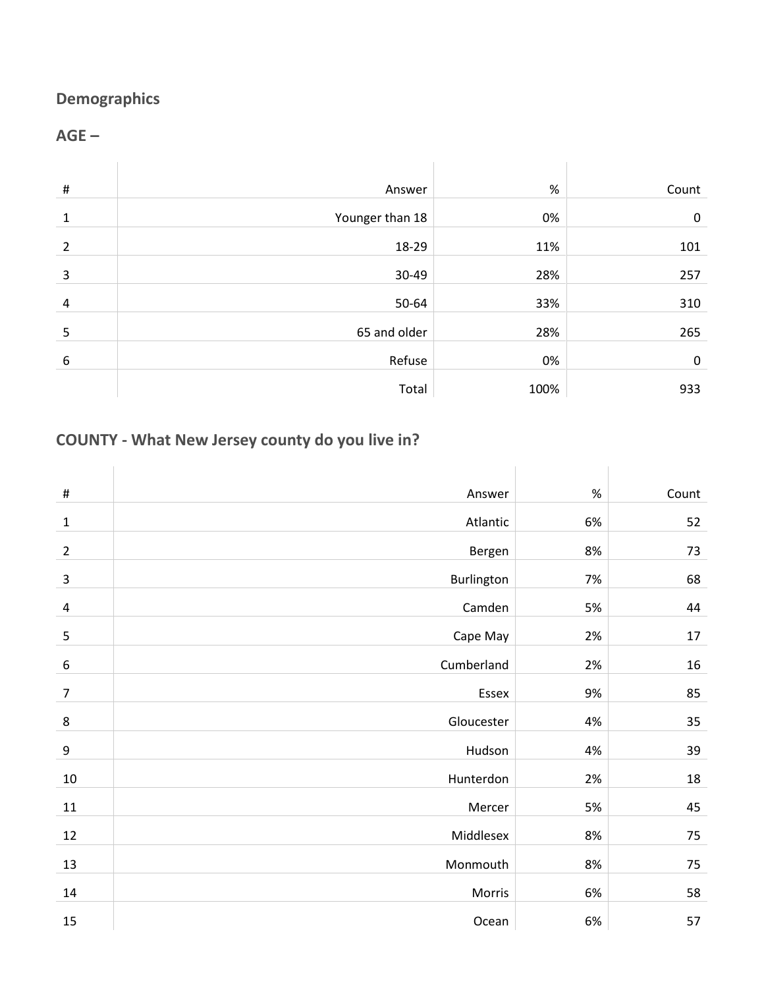# **Demographics**

### **AGE –**

| $\#$         | Answer          | %    | Count       |
|--------------|-----------------|------|-------------|
| $\mathbf{1}$ | Younger than 18 | 0%   | $\mathbf 0$ |
| 2            | 18-29           | 11%  | 101         |
| 3            | 30-49           | 28%  | 257         |
| 4            | 50-64           | 33%  | 310         |
| 5            | 65 and older    | 28%  | 265         |
| 6            | Refuse          | 0%   | $\mathbf 0$ |
|              | Total           | 100% | 933         |

# **COUNTY - What New Jersey county do you live in?**

| $\#$             | Answer     | $\%$ | Count |
|------------------|------------|------|-------|
| $\mathbf{1}$     | Atlantic   | 6%   | 52    |
| $\overline{2}$   | Bergen     | 8%   | 73    |
| 3                | Burlington | 7%   | 68    |
| 4                | Camden     | 5%   | 44    |
| 5                | Cape May   | 2%   | 17    |
| 6                | Cumberland | 2%   | 16    |
| $\overline{7}$   | Essex      | 9%   | 85    |
| $\bf 8$          | Gloucester | 4%   | 35    |
| $\boldsymbol{9}$ | Hudson     | 4%   | 39    |
| $10\,$           | Hunterdon  | 2%   | 18    |
| $11\,$           | Mercer     | 5%   | 45    |
| 12               | Middlesex  | 8%   | 75    |
| 13               | Monmouth   | 8%   | 75    |
| 14               | Morris     | 6%   | 58    |
| 15               | Ocean      | 6%   | 57    |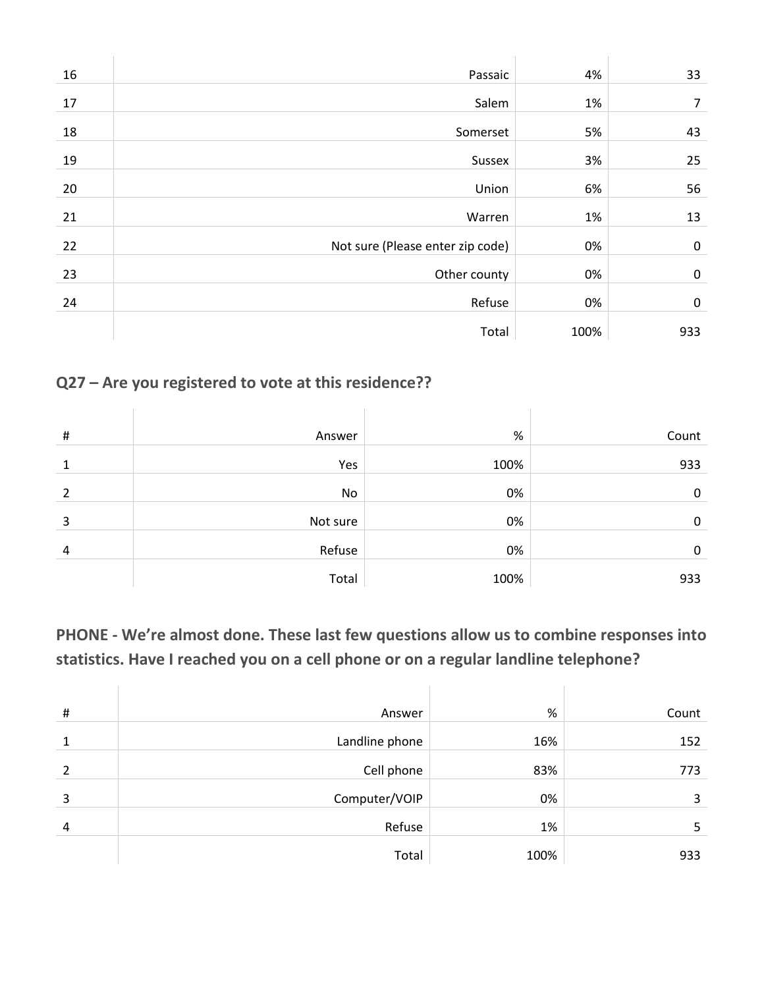| 16 | Passaic                          | 4%   | 33        |
|----|----------------------------------|------|-----------|
| 17 | Salem                            | 1%   | 7         |
| 18 | Somerset                         | 5%   | 43        |
| 19 | Sussex                           | 3%   | 25        |
| 20 | Union                            | 6%   | 56        |
| 21 | Warren                           | 1%   | 13        |
| 22 | Not sure (Please enter zip code) | 0%   | $\pmb{0}$ |
| 23 | Other county                     | 0%   | $\pmb{0}$ |
| 24 | Refuse                           | 0%   | $\pmb{0}$ |
|    | Total                            | 100% | 933       |

# **Q27 – Are you registered to vote at this residence??**

| # | Answer   | %    | Count |
|---|----------|------|-------|
| 1 | Yes      | 100% | 933   |
| 2 | No       | 0%   | 0     |
| 3 | Not sure | 0%   | 0     |
| 4 | Refuse   | 0%   | 0     |
|   | Total    | 100% | 933   |

**PHONE - We're almost done. These last few questions allow us to combine responses into statistics. Have I reached you on a cell phone or on a regular landline telephone?**

| # | Answer         | %    | Count |
|---|----------------|------|-------|
|   | Landline phone | 16%  | 152   |
| 2 | Cell phone     | 83%  | 773   |
| 3 | Computer/VOIP  | 0%   | 3     |
| 4 | Refuse         | 1%   | 5     |
|   | Total          | 100% | 933   |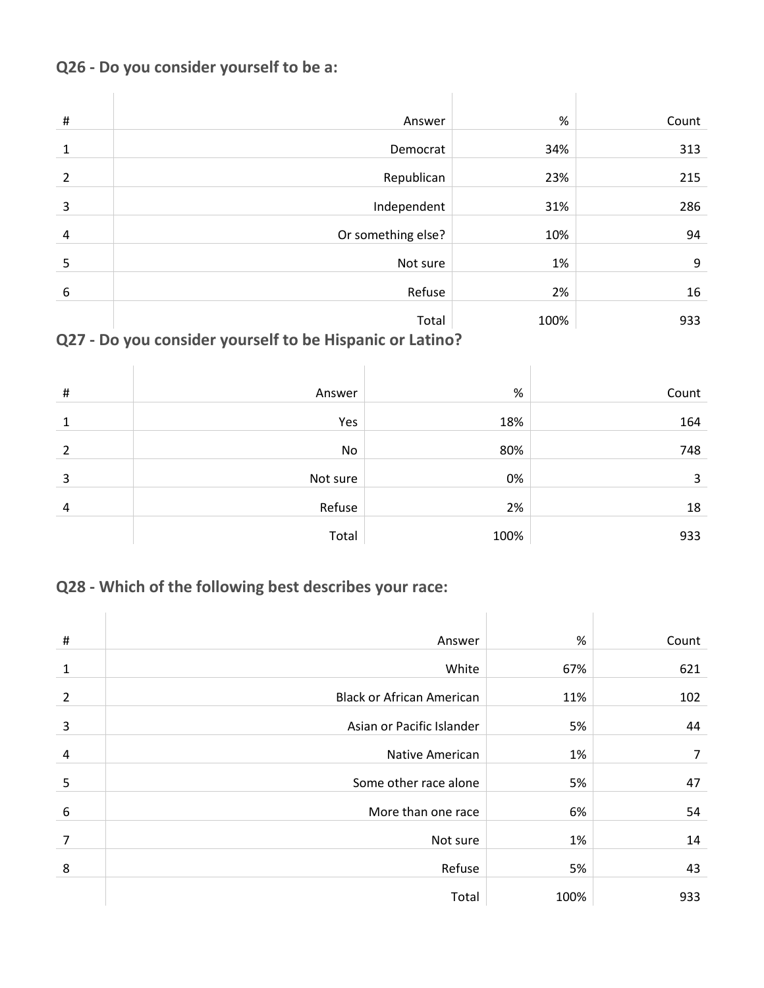### **Q26 - Do you consider yourself to be a:**

| $\#$           | Answer             | %    | Count |
|----------------|--------------------|------|-------|
| 1              | Democrat           | 34%  | 313   |
| $\overline{2}$ | Republican         | 23%  | 215   |
| 3              | Independent        | 31%  | 286   |
| $\overline{a}$ | Or something else? | 10%  | 94    |
| 5              | Not sure           | 1%   | 9     |
| 6              | Refuse             | 2%   | 16    |
|                | Total              | 100% | 933   |

# **Q27 - Do you consider yourself to be Hispanic or Latino?**

| # | Answer   | $\%$ | Count |
|---|----------|------|-------|
| 1 | Yes      | 18%  | 164   |
| 2 | No       | 80%  | 748   |
| 3 | Not sure | 0%   | 3     |
| 4 | Refuse   | 2%   | 18    |
|   |          |      |       |
|   | Total    | 100% | 933   |

# **Q28 - Which of the following best describes your race:**

| $\#$           | Answer                           | %    | Count |
|----------------|----------------------------------|------|-------|
| 1              | White                            | 67%  | 621   |
| $\overline{2}$ | <b>Black or African American</b> | 11%  | 102   |
| 3              | Asian or Pacific Islander        | 5%   | 44    |
| 4              | Native American                  | 1%   | 7     |
| 5              | Some other race alone            | 5%   | 47    |
| 6              | More than one race               | 6%   | 54    |
| 7              | Not sure                         | 1%   | 14    |
| 8              | Refuse                           | 5%   | 43    |
|                | Total                            | 100% | 933   |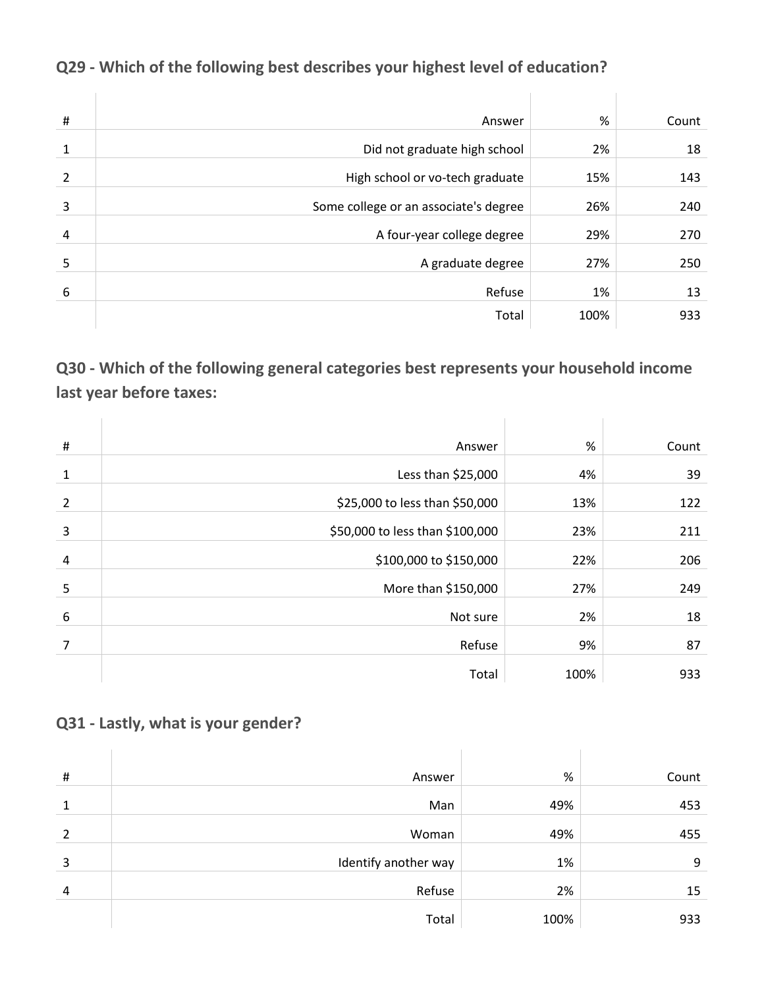| $\sharp$       | Answer                                | %    | Count |
|----------------|---------------------------------------|------|-------|
| 1              | Did not graduate high school          | 2%   | 18    |
| 2              | High school or vo-tech graduate       | 15%  | 143   |
| 3              | Some college or an associate's degree | 26%  | 240   |
|                |                                       |      |       |
| $\overline{a}$ | A four-year college degree            | 29%  | 270   |
| 5              | A graduate degree                     | 27%  | 250   |
| 6              | Refuse                                | 1%   | 13    |
|                | Total                                 | 100% | 933   |

# **Q29 - Which of the following best describes your highest level of education?**

**Q30 - Which of the following general categories best represents your household income last year before taxes:**

| $\#$           | Answer                          | %    | Count |
|----------------|---------------------------------|------|-------|
| $\mathbf{1}$   | Less than \$25,000              | 4%   | 39    |
| $\overline{2}$ | \$25,000 to less than \$50,000  | 13%  | 122   |
| 3              | \$50,000 to less than \$100,000 | 23%  | 211   |
| 4              | \$100,000 to \$150,000          | 22%  | 206   |
| 5              | More than \$150,000             | 27%  | 249   |
| 6              | Not sure                        | 2%   | 18    |
| 7              | Refuse                          | 9%   | 87    |
|                | Total                           | 100% | 933   |

### **Q31 - Lastly, what is your gender?**

| # | Answer               | %    | Count |
|---|----------------------|------|-------|
| 1 | Man                  | 49%  | 453   |
| 2 | Woman                | 49%  | 455   |
| 3 | Identify another way | 1%   | 9     |
| 4 | Refuse               | 2%   | 15    |
|   | Total                | 100% | 933   |